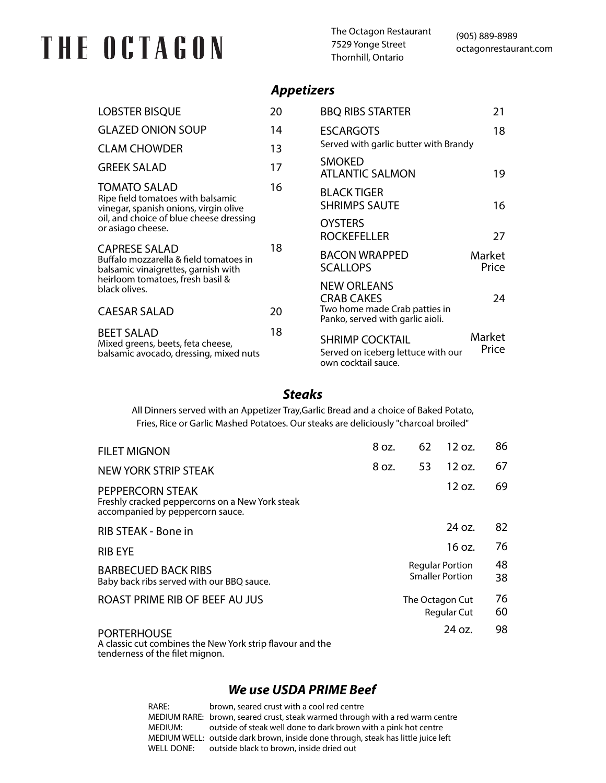# THE OCTAGON

The Octagon Restaurant 7529 Yonge Street Thornhill, Ontario

### *Appetizers*

| <b>LOBSTER BISQUE</b>                                                                                                                                                                                                                                                      | 20 | <b>BBQ RIBS STARTER</b>                                                             | 21              |
|----------------------------------------------------------------------------------------------------------------------------------------------------------------------------------------------------------------------------------------------------------------------------|----|-------------------------------------------------------------------------------------|-----------------|
| <b>GLAZED ONION SOUP</b>                                                                                                                                                                                                                                                   | 14 | <b>ESCARGOTS</b>                                                                    | 18              |
| <b>CLAM CHOWDER</b>                                                                                                                                                                                                                                                        | 13 | Served with garlic butter with Brandy                                               |                 |
| <b>GREEK SALAD</b>                                                                                                                                                                                                                                                         | 17 | <b>SMOKED</b><br><b>ATLANTIC SALMON</b>                                             | 19              |
| <b>TOMATO SALAD</b><br>Ripe field tomatoes with balsamic<br>vinegar, spanish onions, virgin olive<br>oil, and choice of blue cheese dressing<br>or asiago cheese.<br><b>CAPRESE SALAD</b><br>Buffalo mozzarella & field tomatoes in<br>balsamic vinaigrettes, garnish with | 16 | <b>BLACK TIGER</b><br><b>SHRIMPS SAUTE</b>                                          | 16              |
|                                                                                                                                                                                                                                                                            | 18 | <b>OYSTERS</b><br><b>ROCKEFELLER</b>                                                | 27              |
|                                                                                                                                                                                                                                                                            |    | <b>BACON WRAPPED</b><br><b>SCALLOPS</b>                                             | Market<br>Price |
| heirloom tomatoes, fresh basil &<br>black olives.                                                                                                                                                                                                                          |    | <b>NEW ORLEANS</b><br><b>CRAB CAKES</b>                                             | 24              |
| <b>CAESAR SALAD</b>                                                                                                                                                                                                                                                        | 20 | Two home made Crab patties in<br>Panko, served with garlic aioli.                   |                 |
| <b>BEET SALAD</b><br>Mixed greens, beets, feta cheese,<br>balsamic avocado, dressing, mixed nuts                                                                                                                                                                           | 18 | <b>SHRIMP COCKTAIL</b><br>Served on iceberg lettuce with our<br>own cocktail sauce. | Market<br>Price |

#### *Steaks*

All Dinners served with an Appetizer Tray,Garlic Bread and a choice of Baked Potato, Fries, Rice or Garlic Mashed Potatoes. Our steaks are deliciously "charcoal broiled"

| <b>FILET MIGNON</b>                                                                                     | 8 oz. | 62              | 12 oz.                                           | 86       |
|---------------------------------------------------------------------------------------------------------|-------|-----------------|--------------------------------------------------|----------|
| <b>NEW YORK STRIP STEAK</b>                                                                             | 8 oz. | 53              | $12 \text{ oz}$ .                                | 67       |
| PEPPERCORN STEAK<br>Freshly cracked peppercorns on a New York steak<br>accompanied by peppercorn sauce. |       |                 | 12 oz.                                           | 69       |
| RIB STEAK - Bone in                                                                                     |       |                 | 24 oz.                                           | 82       |
| <b>RIB EYE</b>                                                                                          |       |                 | 16 oz.                                           | 76       |
| <b>BARBECUED BACK RIBS</b><br>Baby back ribs served with our BBQ sauce.                                 |       |                 | <b>Regular Portion</b><br><b>Smaller Portion</b> | 48<br>38 |
| ROAST PRIME RIB OF BEEF AU JUS                                                                          |       | The Octagon Cut | <b>Regular Cut</b>                               | 76<br>60 |
| <b>PORTERHOUSE</b><br>A classic cut combines the New York strip flavour and the                         |       |                 | 24 oz.                                           | 98       |

A classic cut combines the New York strip flavour and the tenderness of the filet mignon.

#### *We use USDA PRIME Beef*

| RARE:      | brown, seared crust with a cool red centre                                        |
|------------|-----------------------------------------------------------------------------------|
|            | MEDIUM RARE: brown, seared crust, steak warmed through with a red warm centre     |
| MEDIUM:    | outside of steak well done to dark brown with a pink hot centre                   |
|            | MEDIUM WELL: outside dark brown, inside done through, steak has little juice left |
| WELL DONE: | outside black to brown, inside dried out                                          |